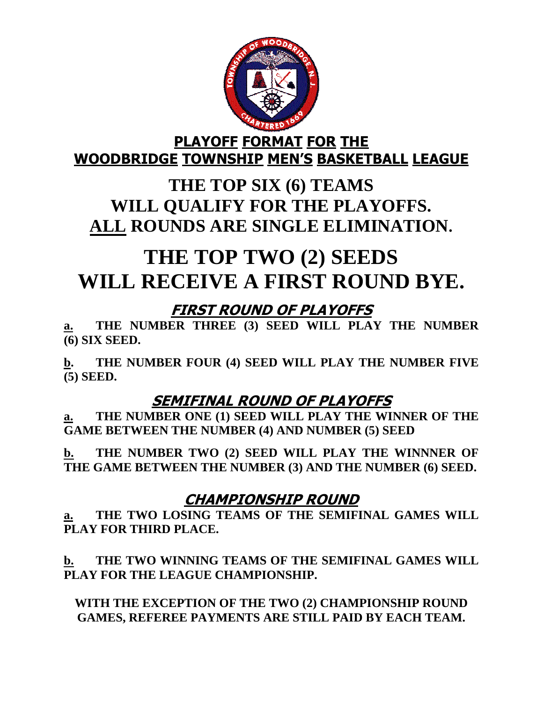

#### PLAYOFF FORMAT FOR THE WOODBRIDGE TOWNSHIP MEN'S BASKETBALL LEAGUE

## **THE TOP SIX (6) TEAMS WILL QUALIFY FOR THE PLAYOFFS. ALL ROUNDS ARE SINGLE ELIMINATION.**

# **THE TOP TWO (2) SEEDS WILL RECEIVE A FIRST ROUND BYE.**

## FIRST ROUND OF PLAYOFFS

**a. THE NUMBER THREE (3) SEED WILL PLAY THE NUMBER (6) SIX SEED.** 

**b. THE NUMBER FOUR (4) SEED WILL PLAY THE NUMBER FIVE (5) SEED.** 

### SEMIFINAL ROUND OF PLAYOFFS

**a. THE NUMBER ONE (1) SEED WILL PLAY THE WINNER OF THE GAME BETWEEN THE NUMBER (4) AND NUMBER (5) SEED** 

**b. THE NUMBER TWO (2) SEED WILL PLAY THE WINNNER OF THE GAME BETWEEN THE NUMBER (3) AND THE NUMBER (6) SEED.** 

### CHAMPIONSHIP ROUND

**a. THE TWO LOSING TEAMS OF THE SEMIFINAL GAMES WILL PLAY FOR THIRD PLACE.** 

**b. THE TWO WINNING TEAMS OF THE SEMIFINAL GAMES WILL PLAY FOR THE LEAGUE CHAMPIONSHIP.** 

**WITH THE EXCEPTION OF THE TWO (2) CHAMPIONSHIP ROUND GAMES, REFEREE PAYMENTS ARE STILL PAID BY EACH TEAM.**